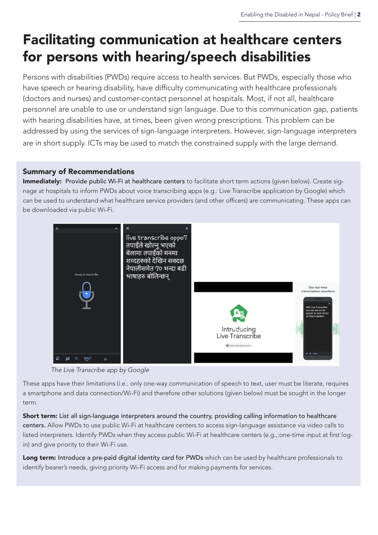# Facilitating communication at healthcare centers for persons with hearing/speech disabilities

Persons with disabilities (PWDs) require access to health services. But PWDs, especially those who have speech or hearing disability, have difficulty communicating with healthcare professionals (doctors and nurses) and customer-contact personnel at hospitals. Most, if not all, healthcare personnel are unable to use or understand sign language. Due to this communication gap, patients with hearing disabilities have, at times, been given wrong prescriptions. This problem can be addressed by using the services of sign-language interpreters. However, sign-language interpreters are in short supply. ICTs may be used to match the constrained supply with the large demand.

#### Summary of Recommendations

Immediately: Provide public Wi-Fi at healthcare centers to facilitate short term actions (given below). Create signage at hospitals to inform PWDs about voice transcribing apps (e.g.: Live Transcribe application by Google) which can be used to understand what healthcare service providers (and other officers) are communicating. These apps can be downloaded via public Wi-Fi.



 *The Live Transcribe app by Google*

These apps have their limitations (i.e.: only one-way communication of speech to text, user must be literate, requires a smartphone and data connection/Wi-Fi) and therefore other solutions (given below) must be sought in the longer term.

Short term: List all sign-language interpreters around the country, providing calling information to healthcare centers. Allow PWDs to use public Wi-Fi at healthcare centers to access sign-language assistance via video calls to listed interpreters. Identify PWDs when they access public Wi-Fi at healthcare centers (e.g.,:one-time input at first login) and give priority to their Wi-Fi use.

Long term: Introduce a pre-paid digital identity card for PWDs which can be used by healthcare professionals to identify bearer's needs, giving priority Wi-Fi access and for making payments for services.